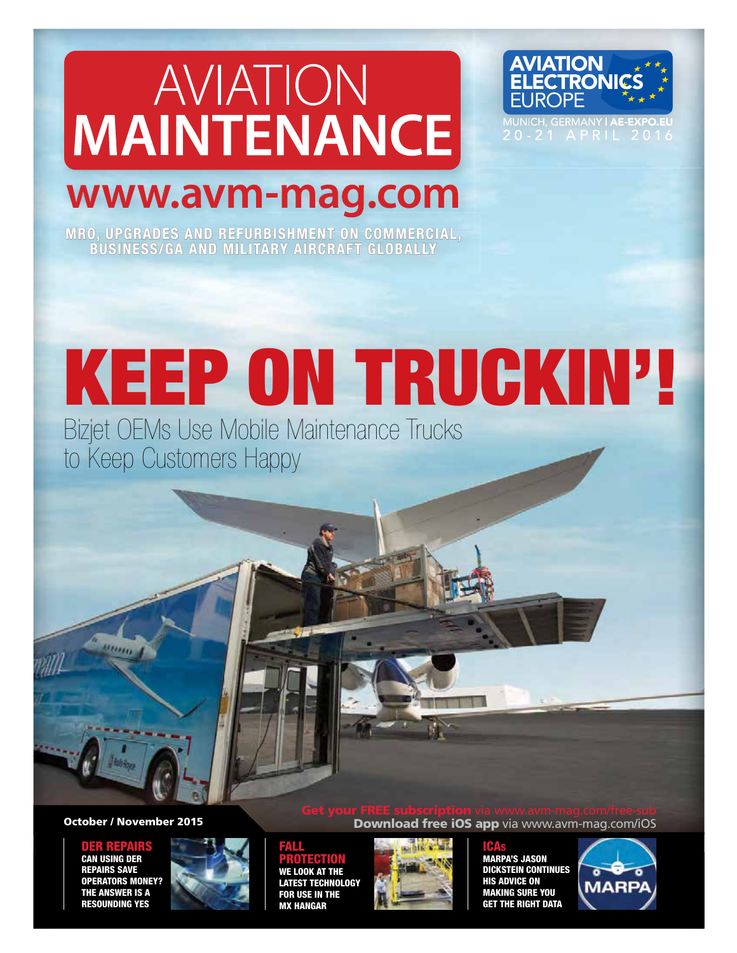# AVIATION **MAINTENANCE**



**INICH, GERMANY | AE-I** 20-21 APRIL 2016

# www.avm-mag.com

MRO, UPGRADES AND REFURBISHMENT ON COMMERCIAL, BUSINESS/GA AND MILITARY AIRCRAFT GLOBALLY

# KEEP ON TRUCKIN'!

Bizjet OEMs Use Mobile Maintenance Trucks to Keep Customers Happy

## October / November 2015

ER REPAI CAN USING DER REPAIRS SAVE OPERATORS MONEY? THE ANSWER IS A RESOUNDING YES



**Download free iOS app** via www.avm-mag.com/iOS

## FALL PROTECTION

WE LOOK AT THE LATEST TECHNOLOGY FOR USE IN THE MX HANGAR



ICAS

MARPA'S JASON DICKSTEIN CONTINUES HIS ADVICE ON MAKING SURE YOU THE RIGHT DATA

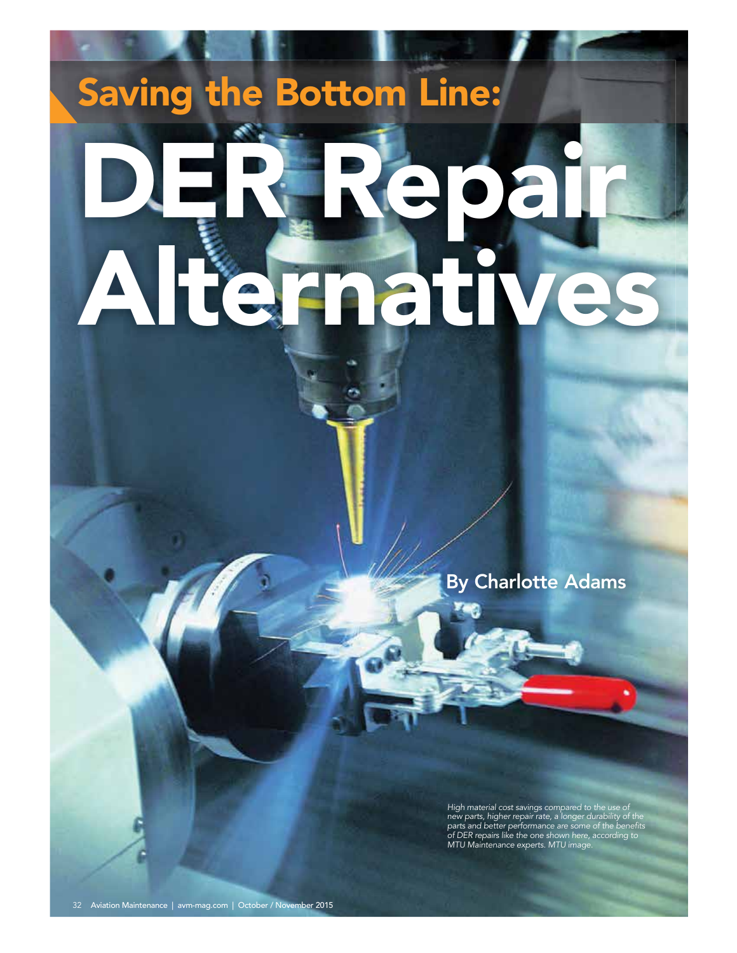# Saving the Bottom Line:

# D.ER. Repair Alternati

By Charlotte Adams

High material cost savings compared to the use of<br>new parts, higher repair rate, a longer durability of the<br>parts and better performance are some of the benefits<br>of DER repairs like the one shown here, according to<br>MTU Mai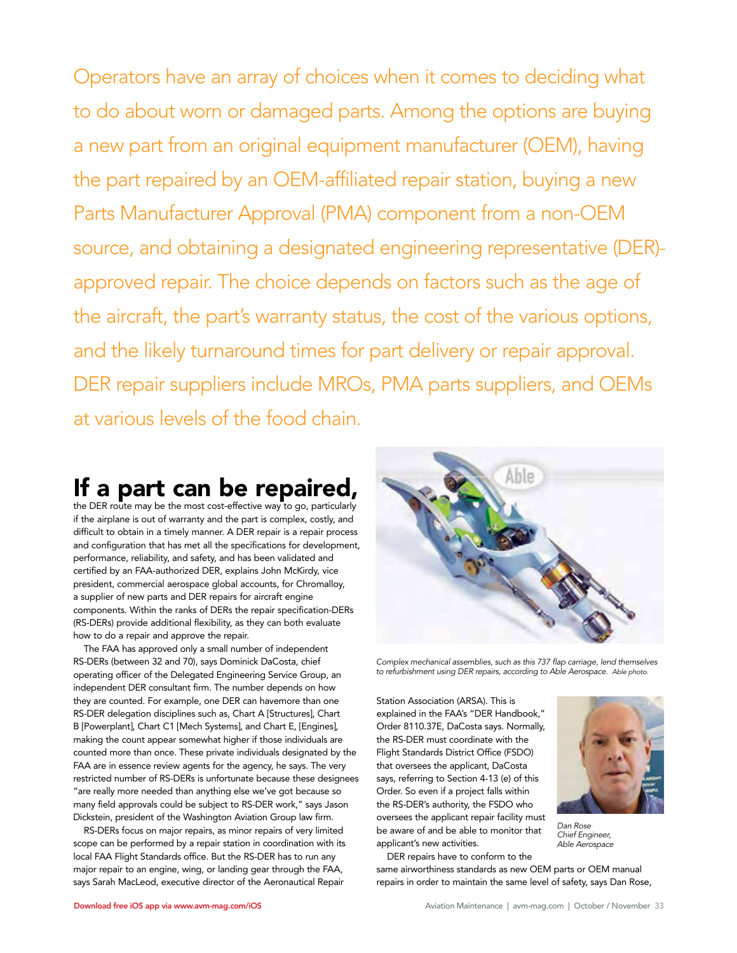Operators have an array of choices when it comes to deciding what to do about worn or damaged parts. Among the options are buying a new part from an original equipment manufacturer (OEM), having the part repaired by an OEM-affiliated repair station, buying a new Parts Manufacturer Approval (PMA) component from a non-OEM source, and obtaining a designated engineering representative (DER) approved repair. The choice depends on factors such as the age of the aircraft, the part's warranty status, the cost of the various options, and the likely turnaround times for part delivery or repair approval. DER repair suppliers include MROs, PMA parts suppliers, and OEMs at various levels of the food chain.

## If a part can be repaired,

the DER route may be the most cost-effective way to go, particularly if the airplane is out of warranty and the part is complex, costly, and difficult to obtain in a timely manner. A DER repair is a repair process and configuration that has met all the specifications for development, performance, reliability, and safety, and has been validated and certified by an FAA-authorized DER, explains John McKirdy, vice president, commercial aerospace global accounts, for Chromalloy, a supplier of new parts and DER repairs for aircraft engine components. Within the ranks of DERs the repair specification-DERs (RS-DERs) provide additional flexibility, as they can both evaluate how to do a repair and approve the repair.

The FAA has approved only a small number of independent RS-DERs (between 32 and 70), says Dominick DaCosta, chief operating officer of the Delegated Engineering Service Group, an independent DER consultant firm. The number depends on how they are counted. For example, one DER can havemore than one RS-DER delegation disciplines such as, Chart A [Structures], Chart B [Powerplant], Chart C1 [Mech Systems], and Chart E, [Engines], making the count appear somewhat higher if those individuals are counted more than once. These private individuals designated by the FAA are in essence review agents for the agency, he says. The very restricted number of RS-DERs is unfortunate because these designees "are really more needed than anything else we've got because so many field approvals could be subject to RS-DER work," says Jason Dickstein, president of the Washington Aviation Group law firm.

RS-DERs focus on major repairs, as minor repairs of very limited scope can be performed by a repair station in coordination with its local FAA Flight Standards office. But the RS-DER has to run any major repair to an engine, wing, or landing gear through the FAA, says Sarah MacLeod, executive director of the Aeronautical Repair



Complex mechanical assemblies, such as this 737 flap carriage, lend themselves<br>to refurbishment using DER repairs, according to Able Aerospace. Able photo.

Station Association (ARSA). This is explained in the FAA's "DER Handbook," Order 8110.37E, DaCosta says. Normally, the RS-DER must coordinate with the Flight Standards District Office (FSDO) that oversees the applicant, DaCosta says, referring to Section 4-13 (e) of this Order. So even if a project falls within the RS-DER's authority, the FSDO who oversees the applicant repair facility must be aware of and be able to monitor that applicant's new activities.



Dan Rose Chief Engineer, Able Aerospace

DER repairs have to conform to the same airworthiness standards as new OEM parts or OEM manual repairs in order to maintain the same level of safety, says Dan Rose,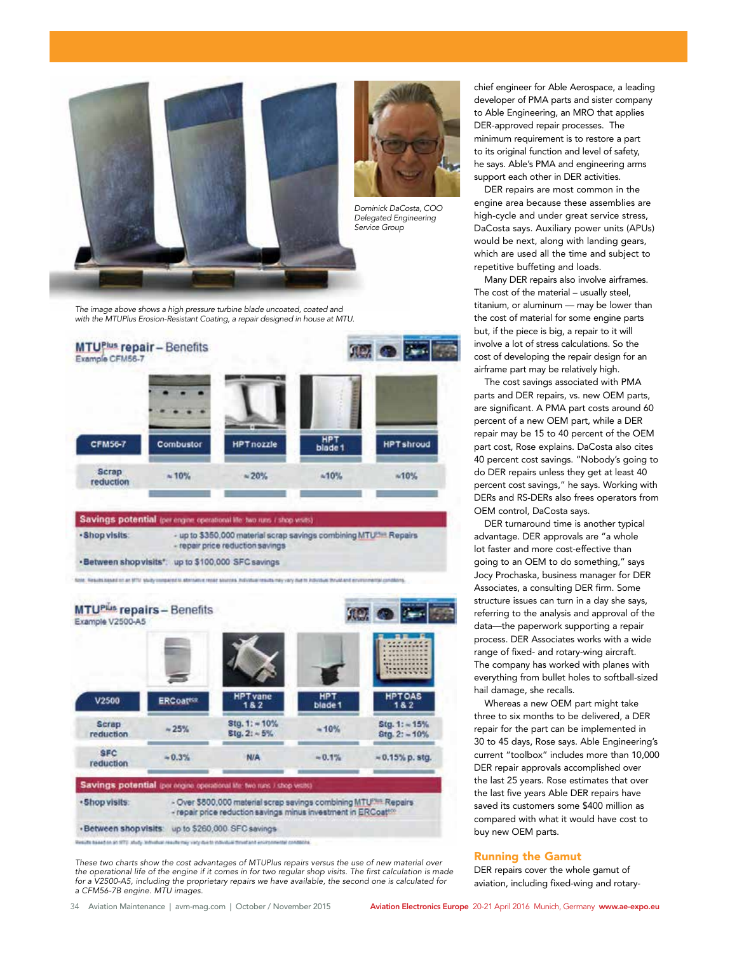

The image above shows a high pressure turbine blade uncoated, coated and with the MTUPlus Erosion-Resistant Coating, a repair designed in house at MTU.



- repair price reduction savings ·Between shop visits\*: up to \$100,000 SFC savings

fizik. Neszits based on an UTU study immeared to attenuiny reser sources. Individual results may vary due to individual thrust and envir



These two charts show the cost advantages of MTUPlus repairs versus the use of new material over the operational life of the engine if it comes in for two regular shop visits. The first calculation is made for a V2500-A5, including the proprietary repairs we have available, the second one is calculated for a CFM56-7B engine. MTU images.

chief engineer for Able Aerospace, a leading developer of PMA parts and sister company to Able Engineering, an MRO that applies DER-approved repair processes. The minimum requirement is to restore a part to its original function and level of safety, he says. Able's PMA and engineering arms support each other in DER activities.

DER repairs are most common in the engine area because these assemblies are high-cycle and under great service stress, DaCosta says. Auxiliary power units (APUs) would be next, along with landing gears, which are used all the time and subject to repetitive buffeting and loads.

Many DER repairs also involve airframes. The cost of the material – usually steel, titanium, or aluminum — may be lower than the cost of material for some engine parts but, if the piece is big, a repair to it will involve a lot of stress calculations. So the cost of developing the repair design for an airframe part may be relatively high.

The cost savings associated with PMA parts and DER repairs, vs. new OEM parts, are significant. A PMA part costs around 60 percent of a new OEM part, while a DER repair may be 15 to 40 percent of the OEM part cost, Rose explains. DaCosta also cites 40 percent cost savings. "Nobody's going to do DER repairs unless they get at least 40 percent cost savings," he says. Working with DERs and RS-DERs also frees operators from OEM control, DaCosta says.

DER turnaround time is another typical advantage. DER approvals are "a whole lot faster and more cost-effective than going to an OEM to do something," says Jocy Prochaska, business manager for DER Associates, a consulting DER firm. Some structure issues can turn in a day she says, referring to the analysis and approval of the data—the paperwork supporting a repair process. DER Associates works with a wide range of fixed- and rotary-wing aircraft. The company has worked with planes with everything from bullet holes to softball-sized hail damage, she recalls.

Whereas a new OEM part might take three to six months to be delivered, a DER repair for the part can be implemented in 30 to 45 days, Rose says. Able Engineering's current "toolbox" includes more than 10,000 DER repair approvals accomplished over the last 25 years. Rose estimates that over the last five years Able DER repairs have saved its customers some \$400 million as compared with what it would have cost to buy new OEM parts.

### Running the Gamut

DER repairs cover the whole gamut of aviation, including fixed-wing and rotary-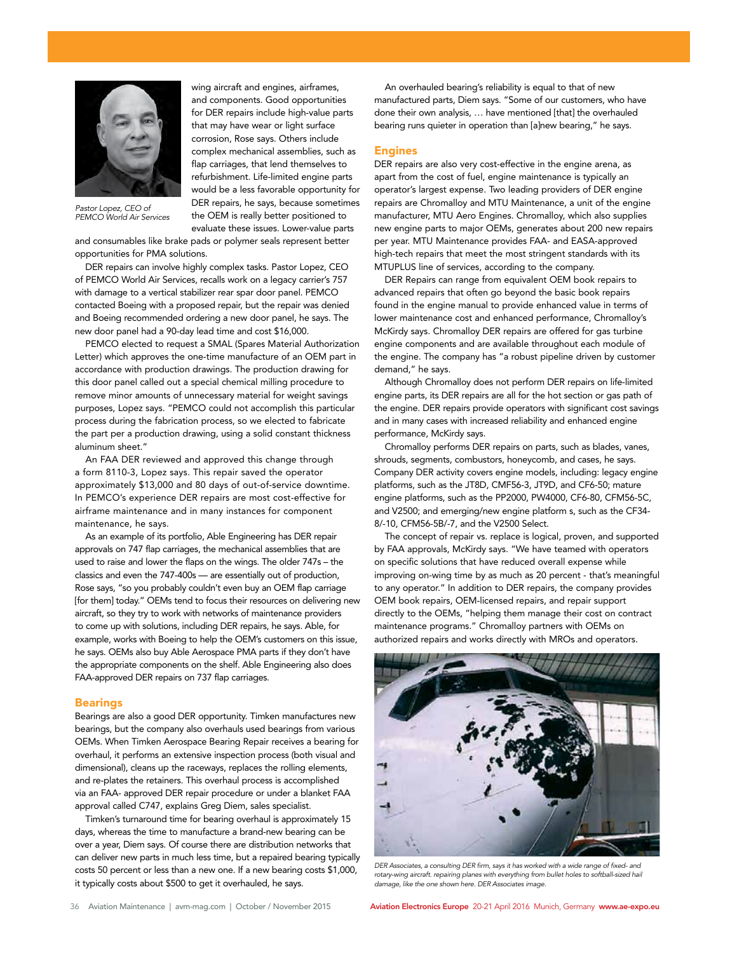

Pastor Lopez, CEO of PEMCO World Air Services

and consumables like brake pads or polymer seals represent better opportunities for PMA solutions.

wing aircraft and engines, airframes, and components. Good opportunities for DER repairs include high-value parts that may have wear or light surface corrosion, Rose says. Others include complex mechanical assemblies, such as flap carriages, that lend themselves to refurbishment. Life-limited engine parts would be a less favorable opportunity for DER repairs, he says, because sometimes the OEM is really better positioned to evaluate these issues. Lower-value parts

DER repairs can involve highly complex tasks. Pastor Lopez, CEO of PEMCO World Air Services, recalls work on a legacy carrier's 757 with damage to a vertical stabilizer rear spar door panel. PEMCO contacted Boeing with a proposed repair, but the repair was denied and Boeing recommended ordering a new door panel, he says. The new door panel had a 90-day lead time and cost \$16,000.

PEMCO elected to request a SMAL (Spares Material Authorization Letter) which approves the one-time manufacture of an OEM part in accordance with production drawings. The production drawing for this door panel called out a special chemical milling procedure to remove minor amounts of unnecessary material for weight savings purposes, Lopez says. "PEMCO could not accomplish this particular process during the fabrication process, so we elected to fabricate the part per a production drawing, using a solid constant thickness aluminum sheet."

An FAA DER reviewed and approved this change through a form 8110-3, Lopez says. This repair saved the operator approximately \$13,000 and 80 days of out-of-service downtime. In PEMCO's experience DER repairs are most cost-effective for airframe maintenance and in many instances for component maintenance, he says.

As an example of its portfolio, Able Engineering has DER repair approvals on 747 flap carriages, the mechanical assemblies that are used to raise and lower the flaps on the wings. The older 747s – the classics and even the 747-400s — are essentially out of production, Rose says, "so you probably couldn't even buy an OEM flap carriage [for them] today." OEMs tend to focus their resources on delivering new aircraft, so they try to work with networks of maintenance providers to come up with solutions, including DER repairs, he says. Able, for example, works with Boeing to help the OEM's customers on this issue, he says. OEMs also buy Able Aerospace PMA parts if they don't have the appropriate components on the shelf. Able Engineering also does FAA-approved DER repairs on 737 flap carriages.

### **Bearings**

Bearings are also a good DER opportunity. Timken manufactures new bearings, but the company also overhauls used bearings from various OEMs. When Timken Aerospace Bearing Repair receives a bearing for overhaul, it performs an extensive inspection process (both visual and dimensional), cleans up the raceways, replaces the rolling elements, and re-plates the retainers. This overhaul process is accomplished via an FAA- approved DER repair procedure or under a blanket FAA approval called C747, explains Greg Diem, sales specialist.

Timken's turnaround time for bearing overhaul is approximately 15 days, whereas the time to manufacture a brand-new bearing can be over a year, Diem says. Of course there are distribution networks that can deliver new parts in much less time, but a repaired bearing typically costs 50 percent or less than a new one. If a new bearing costs \$1,000, it typically costs about \$500 to get it overhauled, he says.

An overhauled bearing's reliability is equal to that of new manufactured parts, Diem says. "Some of our customers, who have done their own analysis, … have mentioned [that] the overhauled bearing runs quieter in operation than [a]new bearing," he says.

### Engines

DER repairs are also very cost-effective in the engine arena, as apart from the cost of fuel, engine maintenance is typically an operator's largest expense. Two leading providers of DER engine repairs are Chromalloy and MTU Maintenance, a unit of the engine manufacturer, MTU Aero Engines. Chromalloy, which also supplies new engine parts to major OEMs, generates about 200 new repairs per year. MTU Maintenance provides FAA- and EASA-approved high-tech repairs that meet the most stringent standards with its MTUPLUS line of services, according to the company.

DER Repairs can range from equivalent OEM book repairs to advanced repairs that often go beyond the basic book repairs found in the engine manual to provide enhanced value in terms of lower maintenance cost and enhanced performance, Chromalloy's McKirdy says. Chromalloy DER repairs are offered for gas turbine engine components and are available throughout each module of the engine. The company has "a robust pipeline driven by customer demand," he says.

Although Chromalloy does not perform DER repairs on life-limited engine parts, its DER repairs are all for the hot section or gas path of the engine. DER repairs provide operators with significant cost savings and in many cases with increased reliability and enhanced engine performance, McKirdy says.

Chromalloy performs DER repairs on parts, such as blades, vanes, shrouds, segments, combustors, honeycomb, and cases, he says. Company DER activity covers engine models, including: legacy engine platforms, such as the JT8D, CMF56-3, JT9D, and CF6-50; mature engine platforms, such as the PP2000, PW4000, CF6-80, CFM56-5C, and V2500; and emerging/new engine platform s, such as the CF34- 8/-10, CFM56-5B/-7, and the V2500 Select.

The concept of repair vs. replace is logical, proven, and supported by FAA approvals, McKirdy says. "We have teamed with operators on specific solutions that have reduced overall expense while improving on-wing time by as much as 20 percent - that's meaningful to any operator." In addition to DER repairs, the company provides OEM book repairs, OEM-licensed repairs, and repair support directly to the OEMs, "helping them manage their cost on contract maintenance programs." Chromalloy partners with OEMs on authorized repairs and works directly with MROs and operators.



DER Associates, a consulting DER firm, says it has worked with a wide range of fixed- and rotary-wing aircraft. repairing planes with everything from bullet holes to softball-sized hail damage, like the one shown here. DER Associates image.